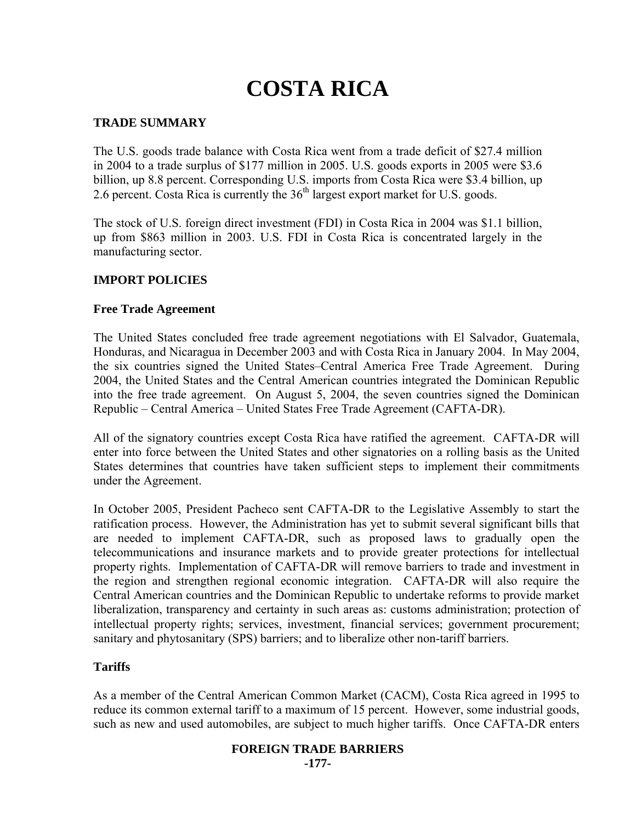# **COSTA RICA**

# **TRADE SUMMARY**

The U.S. goods trade balance with Costa Rica went from a trade deficit of \$27.4 million in 2004 to a trade surplus of \$177 million in 2005. U.S. goods exports in 2005 were \$3.6 billion, up 8.8 percent. Corresponding U.S. imports from Costa Rica were \$3.4 billion, up 2.6 percent. Costa Rica is currently the  $36<sup>th</sup>$  largest export market for U.S. goods.

The stock of U.S. foreign direct investment (FDI) in Costa Rica in 2004 was \$1.1 billion, up from \$863 million in 2003. U.S. FDI in Costa Rica is concentrated largely in the manufacturing sector.

# **IMPORT POLICIES**

## **Free Trade Agreement**

The United States concluded free trade agreement negotiations with El Salvador, Guatemala, Honduras, and Nicaragua in December 2003 and with Costa Rica in January 2004. In May 2004, the six countries signed the United States–Central America Free Trade Agreement. During 2004, the United States and the Central American countries integrated the Dominican Republic into the free trade agreement. On August 5, 2004, the seven countries signed the Dominican Republic – Central America – United States Free Trade Agreement (CAFTA-DR).

All of the signatory countries except Costa Rica have ratified the agreement. CAFTA-DR will enter into force between the United States and other signatories on a rolling basis as the United States determines that countries have taken sufficient steps to implement their commitments under the Agreement.

In October 2005, President Pacheco sent CAFTA-DR to the Legislative Assembly to start the ratification process. However, the Administration has yet to submit several significant bills that are needed to implement CAFTA-DR, such as proposed laws to gradually open the telecommunications and insurance markets and to provide greater protections for intellectual property rights. Implementation of CAFTA-DR will remove barriers to trade and investment in the region and strengthen regional economic integration. CAFTA-DR will also require the Central American countries and the Dominican Republic to undertake reforms to provide market liberalization, transparency and certainty in such areas as: customs administration; protection of intellectual property rights; services, investment, financial services; government procurement; sanitary and phytosanitary (SPS) barriers; and to liberalize other non-tariff barriers.

## **Tariffs**

As a member of the Central American Common Market (CACM), Costa Rica agreed in 1995 to reduce its common external tariff to a maximum of 15 percent. However, some industrial goods, such as new and used automobiles, are subject to much higher tariffs. Once CAFTA-DR enters

## **FOREIGN TRADE BARRIERS -177-**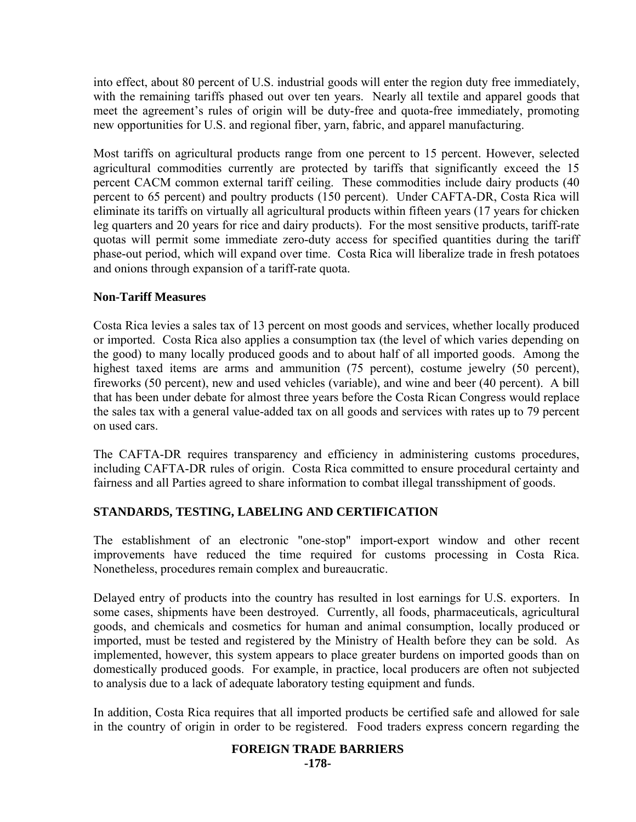into effect, about 80 percent of U.S. industrial goods will enter the region duty free immediately, with the remaining tariffs phased out over ten years. Nearly all textile and apparel goods that meet the agreement's rules of origin will be duty-free and quota-free immediately, promoting new opportunities for U.S. and regional fiber, yarn, fabric, and apparel manufacturing.

Most tariffs on agricultural products range from one percent to 15 percent. However, selected agricultural commodities currently are protected by tariffs that significantly exceed the 15 percent CACM common external tariff ceiling. These commodities include dairy products (40 percent to 65 percent) and poultry products (150 percent). Under CAFTA-DR, Costa Rica will eliminate its tariffs on virtually all agricultural products within fifteen years (17 years for chicken leg quarters and 20 years for rice and dairy products). For the most sensitive products, tariff-rate quotas will permit some immediate zero-duty access for specified quantities during the tariff phase-out period, which will expand over time. Costa Rica will liberalize trade in fresh potatoes and onions through expansion of a tariff-rate quota.

# **Non-Tariff Measures**

Costa Rica levies a sales tax of 13 percent on most goods and services, whether locally produced or imported. Costa Rica also applies a consumption tax (the level of which varies depending on the good) to many locally produced goods and to about half of all imported goods. Among the highest taxed items are arms and ammunition (75 percent), costume jewelry (50 percent), fireworks (50 percent), new and used vehicles (variable), and wine and beer (40 percent). A bill that has been under debate for almost three years before the Costa Rican Congress would replace the sales tax with a general value-added tax on all goods and services with rates up to 79 percent on used cars.

The CAFTA-DR requires transparency and efficiency in administering customs procedures, including CAFTA-DR rules of origin. Costa Rica committed to ensure procedural certainty and fairness and all Parties agreed to share information to combat illegal transshipment of goods.

# **STANDARDS, TESTING, LABELING AND CERTIFICATION**

The establishment of an electronic "one-stop" import-export window and other recent improvements have reduced the time required for customs processing in Costa Rica. Nonetheless, procedures remain complex and bureaucratic.

Delayed entry of products into the country has resulted in lost earnings for U.S. exporters. In some cases, shipments have been destroyed. Currently, all foods, pharmaceuticals, agricultural goods, and chemicals and cosmetics for human and animal consumption, locally produced or imported, must be tested and registered by the Ministry of Health before they can be sold. As implemented, however, this system appears to place greater burdens on imported goods than on domestically produced goods. For example, in practice, local producers are often not subjected to analysis due to a lack of adequate laboratory testing equipment and funds.

In addition, Costa Rica requires that all imported products be certified safe and allowed for sale in the country of origin in order to be registered. Food traders express concern regarding the

## **FOREIGN TRADE BARRIERS**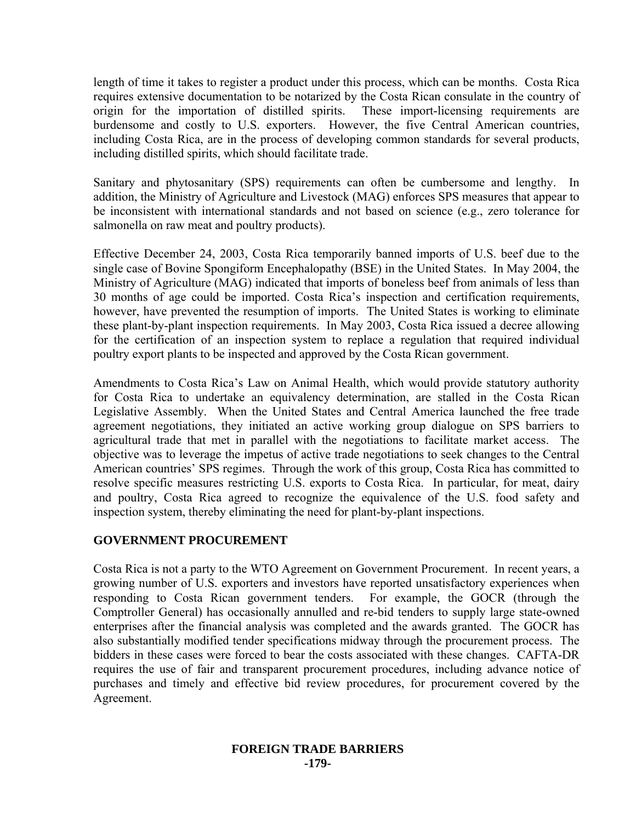length of time it takes to register a product under this process, which can be months. Costa Rica requires extensive documentation to be notarized by the Costa Rican consulate in the country of origin for the importation of distilled spirits. These import-licensing requirements are burdensome and costly to U.S. exporters. However, the five Central American countries, including Costa Rica, are in the process of developing common standards for several products, including distilled spirits, which should facilitate trade.

Sanitary and phytosanitary (SPS) requirements can often be cumbersome and lengthy. In addition, the Ministry of Agriculture and Livestock (MAG) enforces SPS measures that appear to be inconsistent with international standards and not based on science (e.g., zero tolerance for salmonella on raw meat and poultry products).

Effective December 24, 2003, Costa Rica temporarily banned imports of U.S. beef due to the single case of Bovine Spongiform Encephalopathy (BSE) in the United States. In May 2004, the Ministry of Agriculture (MAG) indicated that imports of boneless beef from animals of less than 30 months of age could be imported. Costa Rica's inspection and certification requirements, however, have prevented the resumption of imports. The United States is working to eliminate these plant-by-plant inspection requirements. In May 2003, Costa Rica issued a decree allowing for the certification of an inspection system to replace a regulation that required individual poultry export plants to be inspected and approved by the Costa Rican government.

Amendments to Costa Rica's Law on Animal Health, which would provide statutory authority for Costa Rica to undertake an equivalency determination, are stalled in the Costa Rican Legislative Assembly. When the United States and Central America launched the free trade agreement negotiations, they initiated an active working group dialogue on SPS barriers to agricultural trade that met in parallel with the negotiations to facilitate market access. The objective was to leverage the impetus of active trade negotiations to seek changes to the Central American countries' SPS regimes. Through the work of this group, Costa Rica has committed to resolve specific measures restricting U.S. exports to Costa Rica. In particular, for meat, dairy and poultry, Costa Rica agreed to recognize the equivalence of the U.S. food safety and inspection system, thereby eliminating the need for plant-by-plant inspections.

## **GOVERNMENT PROCUREMENT**

Costa Rica is not a party to the WTO Agreement on Government Procurement. In recent years, a growing number of U.S. exporters and investors have reported unsatisfactory experiences when responding to Costa Rican government tenders. For example, the GOCR (through the Comptroller General) has occasionally annulled and re-bid tenders to supply large state-owned enterprises after the financial analysis was completed and the awards granted. The GOCR has also substantially modified tender specifications midway through the procurement process. The bidders in these cases were forced to bear the costs associated with these changes. CAFTA-DR requires the use of fair and transparent procurement procedures, including advance notice of purchases and timely and effective bid review procedures, for procurement covered by the Agreement.

#### **FOREIGN TRADE BARRIERS -179-**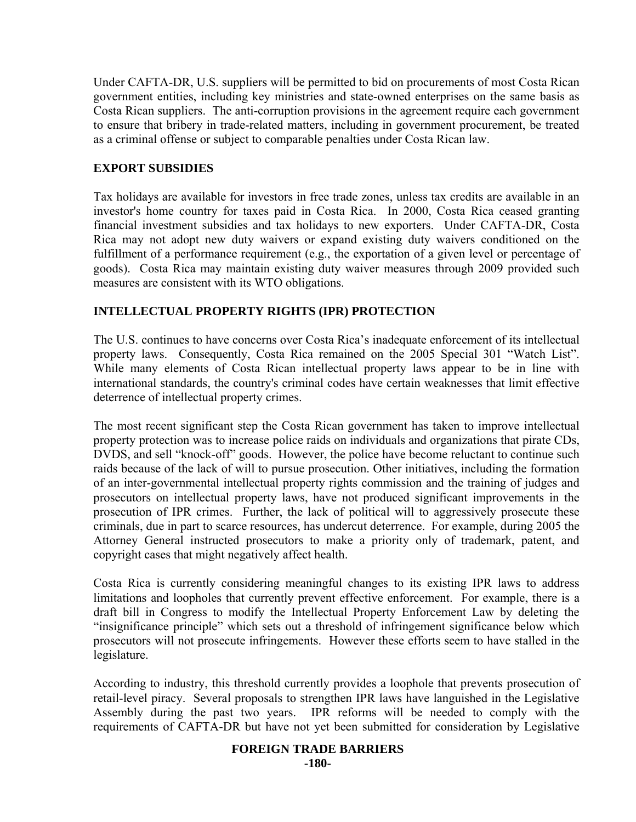Under CAFTA-DR, U.S. suppliers will be permitted to bid on procurements of most Costa Rican government entities, including key ministries and state-owned enterprises on the same basis as Costa Rican suppliers. The anti-corruption provisions in the agreement require each government to ensure that bribery in trade-related matters, including in government procurement, be treated as a criminal offense or subject to comparable penalties under Costa Rican law.

# **EXPORT SUBSIDIES**

Tax holidays are available for investors in free trade zones, unless tax credits are available in an investor's home country for taxes paid in Costa Rica. In 2000, Costa Rica ceased granting financial investment subsidies and tax holidays to new exporters. Under CAFTA-DR, Costa Rica may not adopt new duty waivers or expand existing duty waivers conditioned on the fulfillment of a performance requirement (e.g., the exportation of a given level or percentage of goods). Costa Rica may maintain existing duty waiver measures through 2009 provided such measures are consistent with its WTO obligations.

# **INTELLECTUAL PROPERTY RIGHTS (IPR) PROTECTION**

The U.S. continues to have concerns over Costa Rica's inadequate enforcement of its intellectual property laws. Consequently, Costa Rica remained on the 2005 Special 301 "Watch List". While many elements of Costa Rican intellectual property laws appear to be in line with international standards, the country's criminal codes have certain weaknesses that limit effective deterrence of intellectual property crimes.

The most recent significant step the Costa Rican government has taken to improve intellectual property protection was to increase police raids on individuals and organizations that pirate CDs, DVDS, and sell "knock-off" goods. However, the police have become reluctant to continue such raids because of the lack of will to pursue prosecution. Other initiatives, including the formation of an inter-governmental intellectual property rights commission and the training of judges and prosecutors on intellectual property laws, have not produced significant improvements in the prosecution of IPR crimes. Further, the lack of political will to aggressively prosecute these criminals, due in part to scarce resources, has undercut deterrence. For example, during 2005 the Attorney General instructed prosecutors to make a priority only of trademark, patent, and copyright cases that might negatively affect health.

Costa Rica is currently considering meaningful changes to its existing IPR laws to address limitations and loopholes that currently prevent effective enforcement. For example, there is a draft bill in Congress to modify the Intellectual Property Enforcement Law by deleting the "insignificance principle" which sets out a threshold of infringement significance below which prosecutors will not prosecute infringements. However these efforts seem to have stalled in the legislature.

According to industry, this threshold currently provides a loophole that prevents prosecution of retail-level piracy. Several proposals to strengthen IPR laws have languished in the Legislative Assembly during the past two years. IPR reforms will be needed to comply with the requirements of CAFTA-DR but have not yet been submitted for consideration by Legislative

# **FOREIGN TRADE BARRIERS**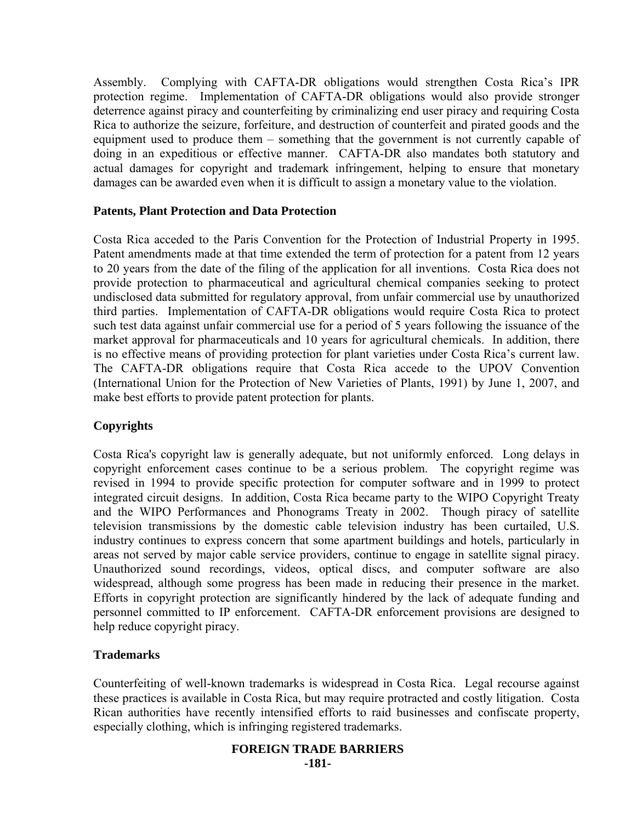Assembly. Complying with CAFTA-DR obligations would strengthen Costa Rica's IPR protection regime. Implementation of CAFTA-DR obligations would also provide stronger deterrence against piracy and counterfeiting by criminalizing end user piracy and requiring Costa Rica to authorize the seizure, forfeiture, and destruction of counterfeit and pirated goods and the equipment used to produce them – something that the government is not currently capable of doing in an expeditious or effective manner. CAFTA-DR also mandates both statutory and actual damages for copyright and trademark infringement, helping to ensure that monetary damages can be awarded even when it is difficult to assign a monetary value to the violation.

# **Patents, Plant Protection and Data Protection**

Costa Rica acceded to the Paris Convention for the Protection of Industrial Property in 1995. Patent amendments made at that time extended the term of protection for a patent from 12 years to 20 years from the date of the filing of the application for all inventions. Costa Rica does not provide protection to pharmaceutical and agricultural chemical companies seeking to protect undisclosed data submitted for regulatory approval, from unfair commercial use by unauthorized third parties. Implementation of CAFTA-DR obligations would require Costa Rica to protect such test data against unfair commercial use for a period of 5 years following the issuance of the market approval for pharmaceuticals and 10 years for agricultural chemicals. In addition, there is no effective means of providing protection for plant varieties under Costa Rica's current law. The CAFTA-DR obligations require that Costa Rica accede to the UPOV Convention (International Union for the Protection of New Varieties of Plants, 1991) by June 1, 2007, and make best efforts to provide patent protection for plants.

# **Copyrights**

Costa Rica's copyright law is generally adequate, but not uniformly enforced. Long delays in copyright enforcement cases continue to be a serious problem. The copyright regime was revised in 1994 to provide specific protection for computer software and in 1999 to protect integrated circuit designs. In addition, Costa Rica became party to the WIPO Copyright Treaty and the WIPO Performances and Phonograms Treaty in 2002. Though piracy of satellite television transmissions by the domestic cable television industry has been curtailed, U.S. industry continues to express concern that some apartment buildings and hotels, particularly in areas not served by major cable service providers, continue to engage in satellite signal piracy. Unauthorized sound recordings, videos, optical discs, and computer software are also widespread, although some progress has been made in reducing their presence in the market. Efforts in copyright protection are significantly hindered by the lack of adequate funding and personnel committed to IP enforcement. CAFTA-DR enforcement provisions are designed to help reduce copyright piracy.

# **Trademarks**

Counterfeiting of well-known trademarks is widespread in Costa Rica. Legal recourse against these practices is available in Costa Rica, but may require protracted and costly litigation. Costa Rican authorities have recently intensified efforts to raid businesses and confiscate property, especially clothing, which is infringing registered trademarks.

#### **FOREIGN TRADE BARRIERS -181-**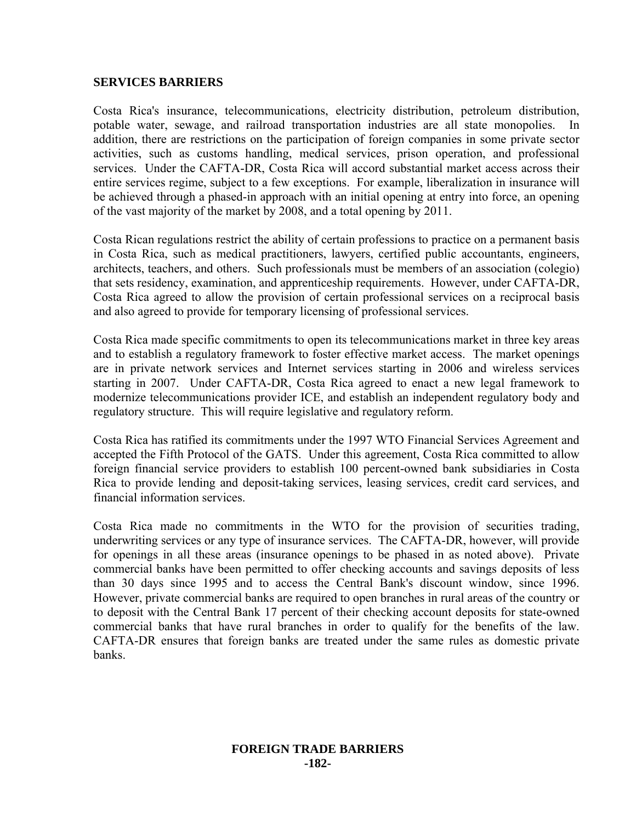#### **SERVICES BARRIERS**

Costa Rica's insurance, telecommunications, electricity distribution, petroleum distribution, potable water, sewage, and railroad transportation industries are all state monopolies. In addition, there are restrictions on the participation of foreign companies in some private sector activities, such as customs handling, medical services, prison operation, and professional services. Under the CAFTA-DR, Costa Rica will accord substantial market access across their entire services regime, subject to a few exceptions. For example, liberalization in insurance will be achieved through a phased-in approach with an initial opening at entry into force, an opening of the vast majority of the market by 2008, and a total opening by 2011.

Costa Rican regulations restrict the ability of certain professions to practice on a permanent basis in Costa Rica, such as medical practitioners, lawyers, certified public accountants, engineers, architects, teachers, and others. Such professionals must be members of an association (colegio) that sets residency, examination, and apprenticeship requirements. However, under CAFTA-DR, Costa Rica agreed to allow the provision of certain professional services on a reciprocal basis and also agreed to provide for temporary licensing of professional services.

Costa Rica made specific commitments to open its telecommunications market in three key areas and to establish a regulatory framework to foster effective market access. The market openings are in private network services and Internet services starting in 2006 and wireless services starting in 2007. Under CAFTA-DR, Costa Rica agreed to enact a new legal framework to modernize telecommunications provider ICE, and establish an independent regulatory body and regulatory structure. This will require legislative and regulatory reform.

Costa Rica has ratified its commitments under the 1997 WTO Financial Services Agreement and accepted the Fifth Protocol of the GATS. Under this agreement, Costa Rica committed to allow foreign financial service providers to establish 100 percent-owned bank subsidiaries in Costa Rica to provide lending and deposit-taking services, leasing services, credit card services, and financial information services.

Costa Rica made no commitments in the WTO for the provision of securities trading, underwriting services or any type of insurance services. The CAFTA-DR, however, will provide for openings in all these areas (insurance openings to be phased in as noted above). Private commercial banks have been permitted to offer checking accounts and savings deposits of less than 30 days since 1995 and to access the Central Bank's discount window, since 1996. However, private commercial banks are required to open branches in rural areas of the country or to deposit with the Central Bank 17 percent of their checking account deposits for state-owned commercial banks that have rural branches in order to qualify for the benefits of the law. CAFTA-DR ensures that foreign banks are treated under the same rules as domestic private banks.